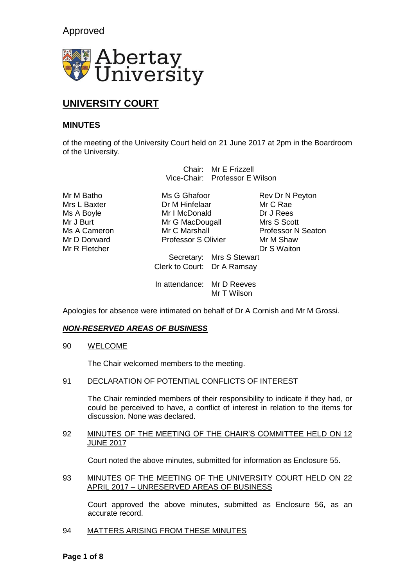Approved



# **UNIVERSITY COURT**

# **MINUTES**

of the meeting of the University Court held on 21 June 2017 at 2pm in the Boardroom of the University.

> Chair: Mr E Frizzell Vice-Chair: Professor E Wilson

Mr M Batho Ms G Ghafoor Rev Dr N Peyton Mr D Dorward **Professor S Olivier** Mr M Shaw<br>
Mr R Fletcher **Mr R S Waiton** Mr R Fletcher

Mrs L Baxter **Dr M Hinfelaar** Mr C Rae Ms A Boyle **Mr I McDonald** Dr J Rees Mr J Burt Mr G MacDougall Mrs S Scott<br>
Mr G Marshall Mr G Marshall Professor N

Mr C Marshall **Professor N** Seaton

Secretary: Mrs S Stewart Clerk to Court: Dr A Ramsay

In attendance: Mr D Reeves Mr T Wilson

Apologies for absence were intimated on behalf of Dr A Cornish and Mr M Grossi.

# *NON-RESERVED AREAS OF BUSINESS*

90 WELCOME

The Chair welcomed members to the meeting.

91 DECLARATION OF POTENTIAL CONFLICTS OF INTEREST

The Chair reminded members of their responsibility to indicate if they had, or could be perceived to have, a conflict of interest in relation to the items for discussion. None was declared.

# 92 MINUTES OF THE MEETING OF THE CHAIR'S COMMITTEE HELD ON 12 JUNE 2017

Court noted the above minutes, submitted for information as Enclosure 55.

93 MINUTES OF THE MEETING OF THE UNIVERSITY COURT HELD ON 22 APRIL 2017 – UNRESERVED AREAS OF BUSINESS

Court approved the above minutes, submitted as Enclosure 56, as an accurate record.

94 MATTERS ARISING FROM THESE MINUTES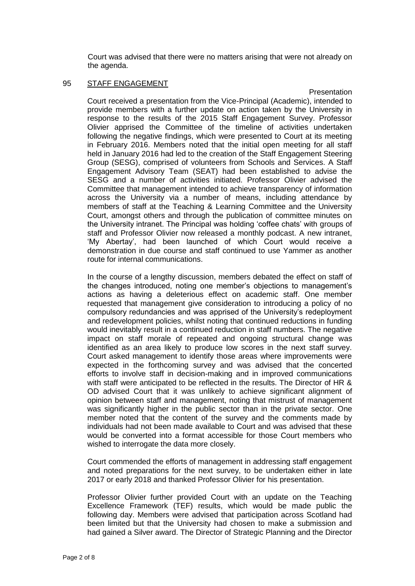Court was advised that there were no matters arising that were not already on the agenda.

# 95 STAFF ENGAGEMENT

Presentation

Court received a presentation from the Vice-Principal (Academic), intended to provide members with a further update on action taken by the University in response to the results of the 2015 Staff Engagement Survey. Professor Olivier apprised the Committee of the timeline of activities undertaken following the negative findings, which were presented to Court at its meeting in February 2016. Members noted that the initial open meeting for all staff held in January 2016 had led to the creation of the Staff Engagement Steering Group (SESG), comprised of volunteers from Schools and Services. A Staff Engagement Advisory Team (SEAT) had been established to advise the SESG and a number of activities initiated. Professor Olivier advised the Committee that management intended to achieve transparency of information across the University via a number of means, including attendance by members of staff at the Teaching & Learning Committee and the University Court, amongst others and through the publication of committee minutes on the University intranet. The Principal was holding 'coffee chats' with groups of staff and Professor Olivier now released a monthly podcast. A new intranet, 'My Abertay', had been launched of which Court would receive a demonstration in due course and staff continued to use Yammer as another route for internal communications.

In the course of a lengthy discussion, members debated the effect on staff of the changes introduced, noting one member's objections to management's actions as having a deleterious effect on academic staff. One member requested that management give consideration to introducing a policy of no compulsory redundancies and was apprised of the University's redeployment and redevelopment policies, whilst noting that continued reductions in funding would inevitably result in a continued reduction in staff numbers. The negative impact on staff morale of repeated and ongoing structural change was identified as an area likely to produce low scores in the next staff survey. Court asked management to identify those areas where improvements were expected in the forthcoming survey and was advised that the concerted efforts to involve staff in decision-making and in improved communications with staff were anticipated to be reflected in the results. The Director of HR & OD advised Court that it was unlikely to achieve significant alignment of opinion between staff and management, noting that mistrust of management was significantly higher in the public sector than in the private sector. One member noted that the content of the survey and the comments made by individuals had not been made available to Court and was advised that these would be converted into a format accessible for those Court members who wished to interrogate the data more closely.

Court commended the efforts of management in addressing staff engagement and noted preparations for the next survey, to be undertaken either in late 2017 or early 2018 and thanked Professor Olivier for his presentation.

Professor Olivier further provided Court with an update on the Teaching Excellence Framework (TEF) results, which would be made public the following day. Members were advised that participation across Scotland had been limited but that the University had chosen to make a submission and had gained a Silver award. The Director of Strategic Planning and the Director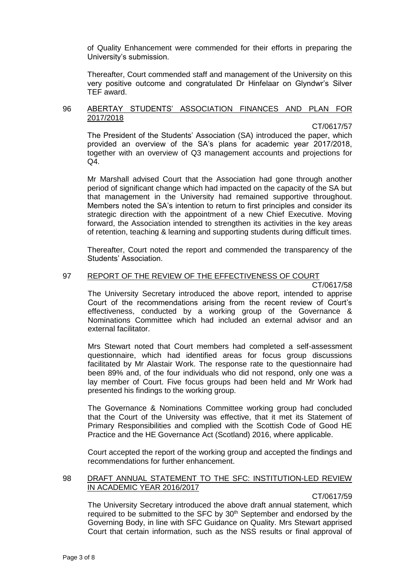of Quality Enhancement were commended for their efforts in preparing the University's submission.

Thereafter, Court commended staff and management of the University on this very positive outcome and congratulated Dr Hinfelaar on Glyndwr's Silver TEF award.

#### 96 ABERTAY STUDENTS' ASSOCIATION FINANCES AND PLAN FOR 2017/2018

#### CT/0617/57

The President of the Students' Association (SA) introduced the paper, which provided an overview of the SA's plans for academic year 2017/2018, together with an overview of Q3 management accounts and projections for Q4.

Mr Marshall advised Court that the Association had gone through another period of significant change which had impacted on the capacity of the SA but that management in the University had remained supportive throughout. Members noted the SA's intention to return to first principles and consider its strategic direction with the appointment of a new Chief Executive. Moving forward, the Association intended to strengthen its activities in the key areas of retention, teaching & learning and supporting students during difficult times.

Thereafter, Court noted the report and commended the transparency of the Students' Association.

# 97 REPORT OF THE REVIEW OF THE EFFECTIVENESS OF COURT

CT/0617/58

The University Secretary introduced the above report, intended to apprise Court of the recommendations arising from the recent review of Court's effectiveness, conducted by a working group of the Governance & Nominations Committee which had included an external advisor and an external facilitator.

Mrs Stewart noted that Court members had completed a self-assessment questionnaire, which had identified areas for focus group discussions facilitated by Mr Alastair Work. The response rate to the questionnaire had been 89% and, of the four individuals who did not respond, only one was a lay member of Court. Five focus groups had been held and Mr Work had presented his findings to the working group.

The Governance & Nominations Committee working group had concluded that the Court of the University was effective, that it met its Statement of Primary Responsibilities and complied with the Scottish Code of Good HE Practice and the HE Governance Act (Scotland) 2016, where applicable.

Court accepted the report of the working group and accepted the findings and recommendations for further enhancement.

## 98 DRAFT ANNUAL STATEMENT TO THE SFC: INSTITUTION-LED REVIEW IN ACADEMIC YEAR 2016/2017

## CT/0617/59

The University Secretary introduced the above draft annual statement, which required to be submitted to the SFC by 30<sup>th</sup> September and endorsed by the Governing Body, in line with SFC Guidance on Quality. Mrs Stewart apprised Court that certain information, such as the NSS results or final approval of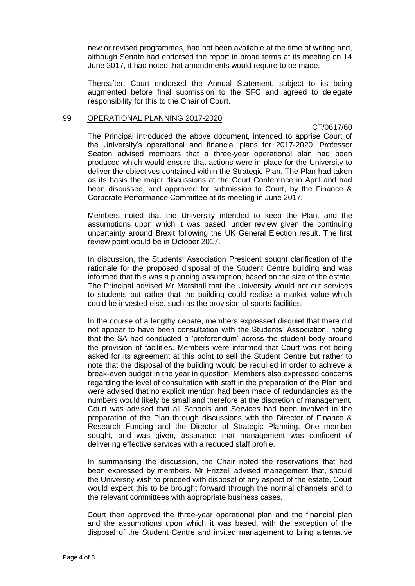new or revised programmes, had not been available at the time of writing and, although Senate had endorsed the report in broad terms at its meeting on 14 June 2017, it had noted that amendments would require to be made.

Thereafter, Court endorsed the Annual Statement, subject to its being augmented before final submission to the SFC and agreed to delegate responsibility for this to the Chair of Court.

## 99 OPERATIONAL PLANNING 2017-2020

CT/0617/60

The Principal introduced the above document, intended to apprise Court of the University's operational and financial plans for 2017-2020. Professor Seaton advised members that a three-year operational plan had been produced which would ensure that actions were in place for the University to deliver the objectives contained within the Strategic Plan. The Plan had taken as its basis the major discussions at the Court Conference in April and had been discussed, and approved for submission to Court, by the Finance & Corporate Performance Committee at its meeting in June 2017.

Members noted that the University intended to keep the Plan, and the assumptions upon which it was based, under review given the continuing uncertainty around Brexit following the UK General Election result. The first review point would be in October 2017.

In discussion, the Students' Association President sought clarification of the rationale for the proposed disposal of the Student Centre building and was informed that this was a planning assumption, based on the size of the estate. The Principal advised Mr Marshall that the University would not cut services to students but rather that the building could realise a market value which could be invested else, such as the provision of sports facilities.

In the course of a lengthy debate, members expressed disquiet that there did not appear to have been consultation with the Students' Association, noting that the SA had conducted a 'preferendum' across the student body around the provision of facilities. Members were informed that Court was not being asked for its agreement at this point to sell the Student Centre but rather to note that the disposal of the building would be required in order to achieve a break-even budget in the year in question. Members also expressed concerns regarding the level of consultation with staff in the preparation of the Plan and were advised that no explicit mention had been made of redundancies as the numbers would likely be small and therefore at the discretion of management. Court was advised that all Schools and Services had been involved in the preparation of the Plan through discussions with the Director of Finance & Research Funding and the Director of Strategic Planning. One member sought, and was given, assurance that management was confident of delivering effective services with a reduced staff profile.

In summarising the discussion, the Chair noted the reservations that had been expressed by members. Mr Frizzell advised management that, should the University wish to proceed with disposal of any aspect of the estate, Court would expect this to be brought forward through the normal channels and to the relevant committees with appropriate business cases.

Court then approved the three-year operational plan and the financial plan and the assumptions upon which it was based, with the exception of the disposal of the Student Centre and invited management to bring alternative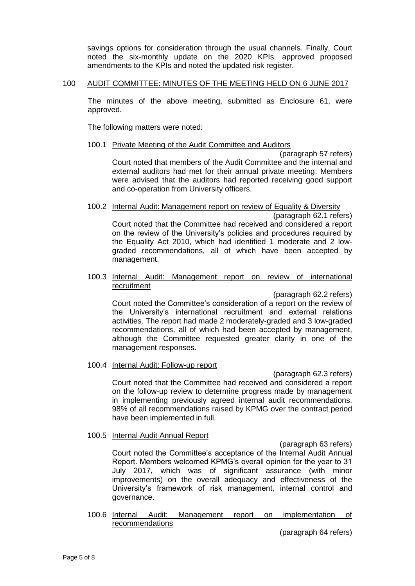savings options for consideration through the usual channels. Finally, Court noted the six-monthly update on the 2020 KPIs, approved proposed amendments to the KPIs and noted the updated risk register.

# 100 AUDIT COMMITTEE: MINUTES OF THE MEETING HELD ON 6 JUNE 2017

The minutes of the above meeting, submitted as Enclosure 61, were approved.

The following matters were noted:

# 100.1 Private Meeting of the Audit Committee and Auditors

(paragraph 57 refers) Court noted that members of the Audit Committee and the internal and external auditors had met for their annual private meeting. Members were advised that the auditors had reported receiving good support and co-operation from University officers.

# 100.2 Internal Audit: Management report on review of Equality & Diversity

(paragraph 62.1 refers) Court noted that the Committee had received and considered a report on the review of the University's policies and procedures required by the Equality Act 2010, which had identified 1 moderate and 2 lowgraded recommendations, all of which have been accepted by management.

#### 100.3 Internal Audit: Management report on review of international recruitment

(paragraph 62.2 refers)

Court noted the Committee's consideration of a report on the review of the University's international recruitment and external relations activities. The report had made 2 moderately-graded and 3 low-graded recommendations, all of which had been accepted by management, although the Committee requested greater clarity in one of the management responses.

## 100.4 Internal Audit: Follow-up report

(paragraph 62.3 refers)

Court noted that the Committee had received and considered a report on the follow-up review to determine progress made by management in implementing previously agreed internal audit recommendations. 98% of all recommendations raised by KPMG over the contract period have been implemented in full.

# 100.5 Internal Audit Annual Report

(paragraph 63 refers)

Court noted the Committee's acceptance of the Internal Audit Annual Report. Members welcomed KPMG's overall opinion for the year to 31 July 2017, which was of significant assurance (with minor improvements) on the overall adequacy and effectiveness of the University's framework of risk management, internal control and governance.

100.6 Internal Audit: Management report on implementation of recommendations

(paragraph 64 refers)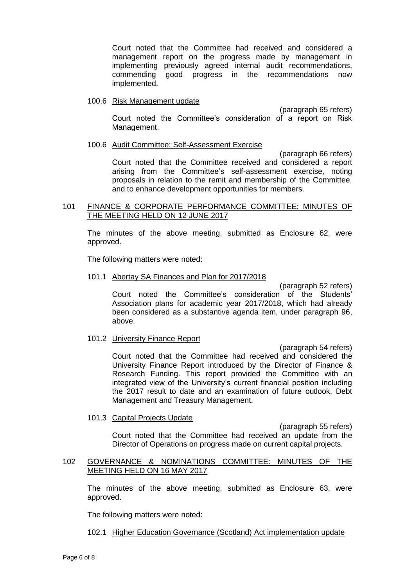Court noted that the Committee had received and considered a management report on the progress made by management in implementing previously agreed internal audit recommendations, commending good progress in the recommendations now implemented.

#### 100.6 Risk Management update

(paragraph 65 refers) Court noted the Committee's consideration of a report on Risk Management.

#### 100.6 Audit Committee: Self-Assessment Exercise

(paragraph 66 refers) Court noted that the Committee received and considered a report arising from the Committee's self-assessment exercise, noting proposals in relation to the remit and membership of the Committee, and to enhance development opportunities for members.

## 101 FINANCE & CORPORATE PERFORMANCE COMMITTEE: MINUTES OF THE MEETING HELD ON 12 JUNE 2017

The minutes of the above meeting, submitted as Enclosure 62, were approved.

The following matters were noted:

#### 101.1 Abertay SA Finances and Plan for 2017/2018

(paragraph 52 refers) Court noted the Committee's consideration of the Students' Association plans for academic year 2017/2018, which had already been considered as a substantive agenda item, under paragraph 96, above.

#### 101.2 University Finance Report

(paragraph 54 refers) Court noted that the Committee had received and considered the University Finance Report introduced by the Director of Finance & Research Funding. This report provided the Committee with an integrated view of the University's current financial position including the 2017 result to date and an examination of future outlook, Debt Management and Treasury Management.

# 101.3 Capital Projects Update

(paragraph 55 refers) Court noted that the Committee had received an update from the Director of Operations on progress made on current capital projects.

# 102 GOVERNANCE & NOMINATIONS COMMITTEE: MINUTES OF THE MEETING HELD ON 16 MAY 2017

The minutes of the above meeting, submitted as Enclosure 63, were approved.

The following matters were noted:

102.1 Higher Education Governance (Scotland) Act implementation update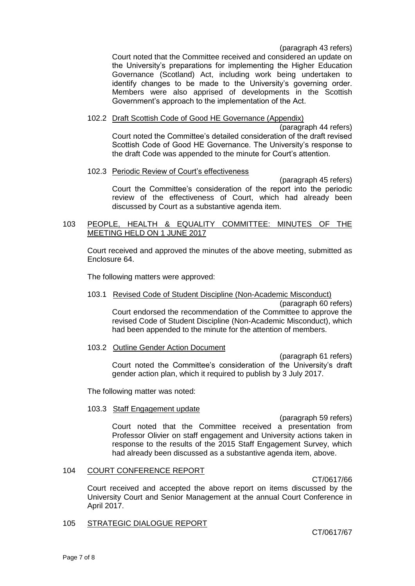(paragraph 43 refers)

Court noted that the Committee received and considered an update on the University's preparations for implementing the Higher Education Governance (Scotland) Act, including work being undertaken to identify changes to be made to the University's governing order. Members were also apprised of developments in the Scottish Government's approach to the implementation of the Act.

# 102.2 Draft Scottish Code of Good HE Governance (Appendix)

(paragraph 44 refers) Court noted the Committee's detailed consideration of the draft revised Scottish Code of Good HE Governance. The University's response to the draft Code was appended to the minute for Court's attention.

# 102.3 Periodic Review of Court's effectiveness

(paragraph 45 refers) Court the Committee's consideration of the report into the periodic review of the effectiveness of Court, which had already been discussed by Court as a substantive agenda item.

# 103 PEOPLE, HEALTH & EQUALITY COMMITTEE: MINUTES OF THE MEETING HELD ON 1 JUNE 2017

Court received and approved the minutes of the above meeting, submitted as Enclosure 64.

The following matters were approved:

103.1 Revised Code of Student Discipline (Non-Academic Misconduct) (paragraph 60 refers)

Court endorsed the recommendation of the Committee to approve the revised Code of Student Discipline (Non-Academic Misconduct), which had been appended to the minute for the attention of members.

## 103.2 Outline Gender Action Document

(paragraph 61 refers) Court noted the Committee's consideration of the University's draft gender action plan, which it required to publish by 3 July 2017.

The following matter was noted:

## 103.3 Staff Engagement update

(paragraph 59 refers) Court noted that the Committee received a presentation from Professor Olivier on staff engagement and University actions taken in response to the results of the 2015 Staff Engagement Survey, which had already been discussed as a substantive agenda item, above.

## 104 COURT CONFERENCE REPORT

CT/0617/66

Court received and accepted the above report on items discussed by the University Court and Senior Management at the annual Court Conference in April 2017.

## 105 STRATEGIC DIALOGUE REPORT

CT/0617/67